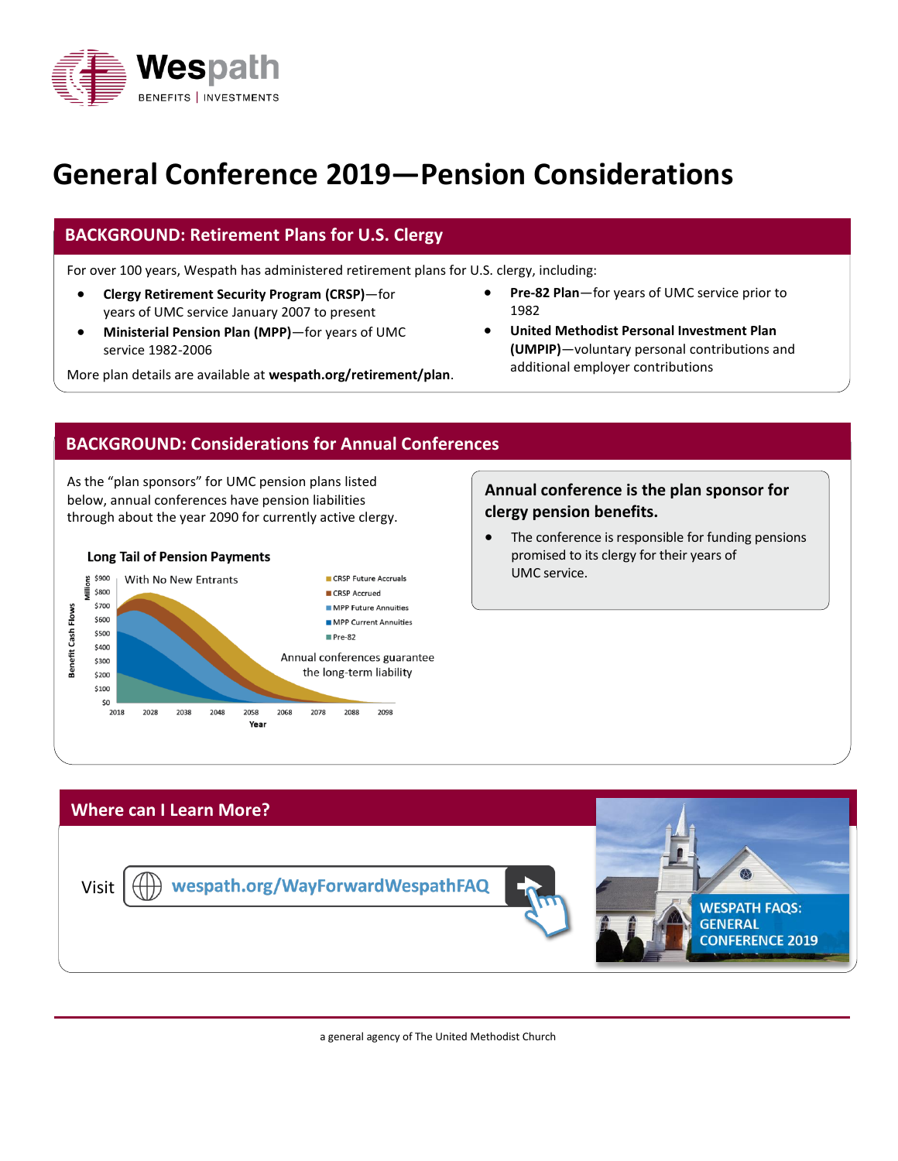

# **General Conference 2019—Pension Considerations**

## **BACKGROUND: Retirement Plans for U.S. Clergy**

For over 100 years, Wespath has administered retirement plans for U.S. clergy, including:

- **Clergy Retirement Security Program (CRSP)**—for years of UMC service January 2007 to present
- **Ministerial Pension Plan (MPP)**—for years of UMC service 1982-2006

additional employer contributions More plan details are available at **wespath.org/retirement/plan**.

- **Pre-82 Plan**—for years of UMC service prior to 1982
- **United Methodist Personal Investment Plan (UMPIP)**—voluntary personal contributions and

#### **BACKGROUND: Considerations for Annual Conferences**

As the "plan sponsors" for UMC pension plans listed below, annual conferences have pension liabilities through about the year 2090 for currently active clergy.



#### **Annual conference is the plan sponsor for clergy pension benefits.**

• The conference is responsible for funding pensions promised to its clergy for their years of UMC service.



a general agency of The United Methodist Church